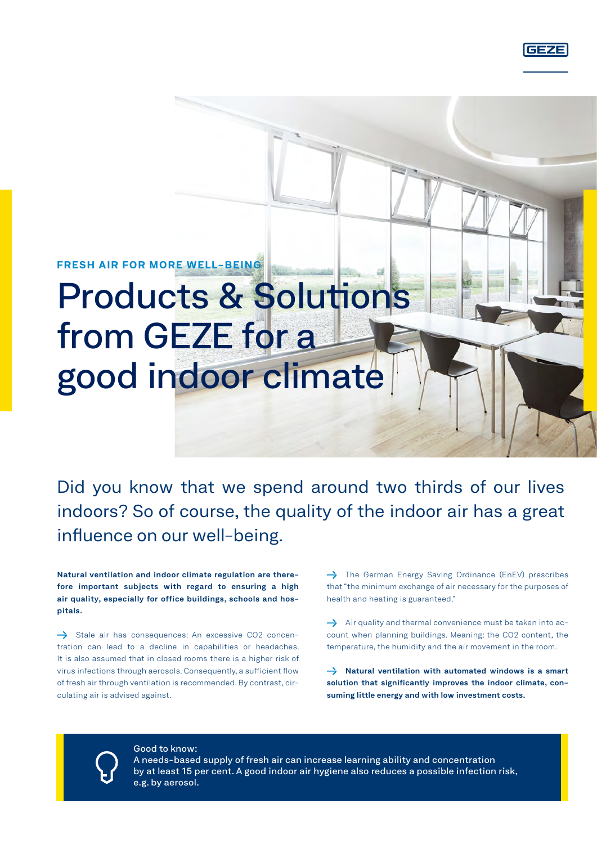**FRESH AIR FOR MORE WELL-BEING**

# Products & Solutions from GEZE for a good indoor climate

Did you know that we spend around two thirds of our lives indoors? So of course, the quality of the indoor air has a great influence on our well-being.

**Natural ventilation and [indoor climate regulation](https://www.geze.de/de/entdecken/themen/raumklimaregelung) are therefore important subjects with regard to ensuring a high air quality, especially for office buildings, schools and hospitals.**

 $\rightarrow$  Stale air has consequences: An excessive CO2 concentration can lead to a decline in capabilities or headaches. It is also assumed that in closed rooms there is a higher risk of virus infections through aerosols. Consequently, a sufficient flow of fresh air through ventilation is recommended. By contrast, circulating air is advised against.

 $\rightarrow$  The German Energy Saving Ordinance (EnEV) prescribes that "the minimum exchange of air necessary for the purposes of health and heating is guaranteed."

 $\rightarrow$  Air quality and thermal convenience must be taken into account when planning buildings. Meaning: the CO2 content, the temperature, the humidity and the air movement in the room.

→ [Natural ventilation](https://www.geze.de/de/entdecken/themen/natuerliche-lueftung) with automated windows is a smart **solution that significantly improves the indoor climate, consuming little energy and with low investment costs.**

Good to know:

A needs-based supply of fresh air can increase learning ability and concentration by at least 15 per cent. A good indoor air hygiene also reduces a possible infection risk, e.g. by aerosol.